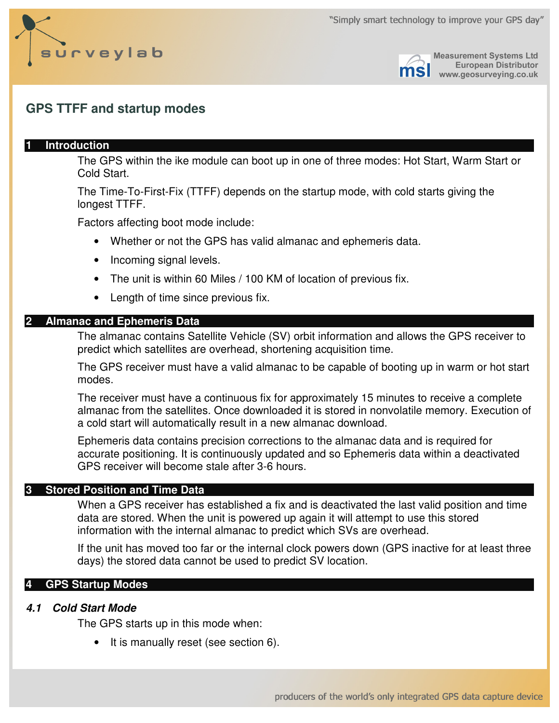



**Measurement Systems Ltd European Distributor** www.geosurveying.co.uk

# **GPS TTFF and startup modes**

### **1 Introduction**

The GPS within the ike module can boot up in one of three modes: Hot Start, Warm Start or Cold Start.

The Time-To-First-Fix (TTFF) depends on the startup mode, with cold starts giving the longest TTFF.

Factors affecting boot mode include:

- Whether or not the GPS has valid almanac and ephemeris data.
- Incoming signal levels.
- The unit is within 60 Miles / 100 KM of location of previous fix.
- Length of time since previous fix.

#### **2 Almanac and Ephemeris Data**

The almanac contains Satellite Vehicle (SV) orbit information and allows the GPS receiver to predict which satellites are overhead, shortening acquisition time.

The GPS receiver must have a valid almanac to be capable of booting up in warm or hot start modes.

The receiver must have a continuous fix for approximately 15 minutes to receive a complete almanac from the satellites. Once downloaded it is stored in nonvolatile memory. Execution of a cold start will automatically result in a new almanac download.

Ephemeris data contains precision corrections to the almanac data and is required for accurate positioning. It is continuously updated and so Ephemeris data within a deactivated GPS receiver will become stale after 3-6 hours.

### **3 Stored Position and Time Data**

When a GPS receiver has established a fix and is deactivated the last valid position and time data are stored. When the unit is powered up again it will attempt to use this stored information with the internal almanac to predict which SVs are overhead.

If the unit has moved too far or the internal clock powers down (GPS inactive for at least three days) the stored data cannot be used to predict SV location.

### **4 GPS Startup Modes**

### **4.1 Cold Start Mode**

The GPS starts up in this mode when:

• It is manually reset (see section 6).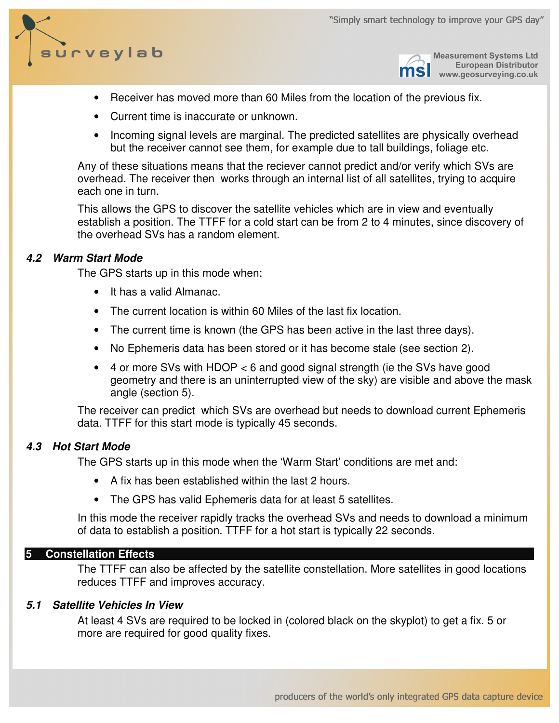



**Measurement Systems Ltd European Distributor** www.geosurveying.co.uk

- Receiver has moved more than 60 Miles from the location of the previous fix.
- Current time is inaccurate or unknown.
- Incoming signal levels are marginal. The predicted satellites are physically overhead but the receiver cannot see them, for example due to tall buildings, foliage etc.

Any of these situations means that the reciever cannot predict and/or verify which SVs are overhead. The receiver then works through an internal list of all satellites, trying to acquire each one in turn.

This allows the GPS to discover the satellite vehicles which are in view and eventually establish a position. The TTFF for a cold start can be from 2 to 4 minutes, since discovery of the overhead SVs has a random element.

# **4.2 Warm Start Mode**

The GPS starts up in this mode when:

- It has a valid Almanac.
- The current location is within 60 Miles of the last fix location.
- The current time is known (the GPS has been active in the last three days).
- No Ephemeris data has been stored or it has become stale (see section 2).
- 4 or more SVs with HDOP < 6 and good signal strength (ie the SVs have good geometry and there is an uninterrupted view of the sky) are visible and above the mask angle (section 5).

The receiver can predict which SVs are overhead but needs to download current Ephemeris data. TTFF for this start mode is typically 45 seconds.

# **4.3 Hot Start Mode**

The GPS starts up in this mode when the 'Warm Start' conditions are met and:

- A fix has been established within the last 2 hours.
- The GPS has valid Ephemeris data for at least 5 satellites.

In this mode the receiver rapidly tracks the overhead SVs and needs to download a minimum of data to establish a position. TTFF for a hot start is typically 22 seconds.

### **5 Constellation Effects**

The TTFF can also be affected by the satellite constellation. More satellites in good locations reduces TTFF and improves accuracy.

### **5.1 Satellite Vehicles In View**

At least 4 SVs are required to be locked in (colored black on the skyplot) to get a fix. 5 or more are required for good quality fixes.